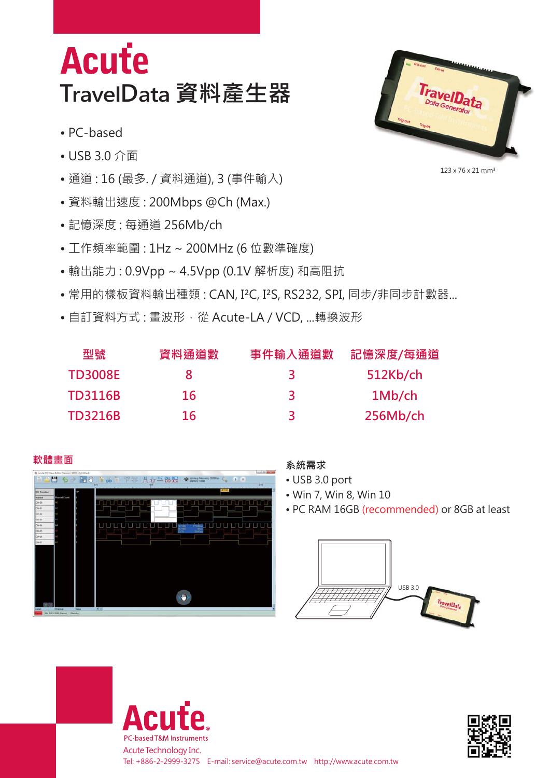## **Acute TravelData 資料產生器**

- PC-based
- USB 3.0 介面
- 通道 : 16 (最多. / 資料通道), 3 (事件輸入)
- 資料輸出速度 : 200Mbps @Ch (Max.)
- 記憶深度 : 每通道 256Mb/ch
- 工作頻率範圍 : 1Hz ~ 200MHz (6 位數準確度)
- 輸出能力 : 0.9Vpp ~ 4.5Vpp (0.1V 解析度) 和高阻抗
- 常用的樣板資料輸出種類 : CAN, I²C, I²S, RS232, SPI, 同步/非同步計數器...
- 自訂資料方式: 畫波形, 從 Acute-LA / VCD, ...轉換波形

| 型號             | 資料通道數 | 事件輸入通道數 | 記憶深度/每通道 |
|----------------|-------|---------|----------|
| <b>TD3008E</b> |       | ₹       | 512Kb/ch |
| <b>TD3116B</b> | 16    | ₹       | 1Mb/ch   |
| <b>TD3216B</b> | 16    | ₹       | 256Mb/ch |



- USB 3.0 port
- Win 7, Win 8, Win 10
- PC RAM 16GB (recommended) or 8GB at least









123 x 76 x 21 mm<sup>3</sup>